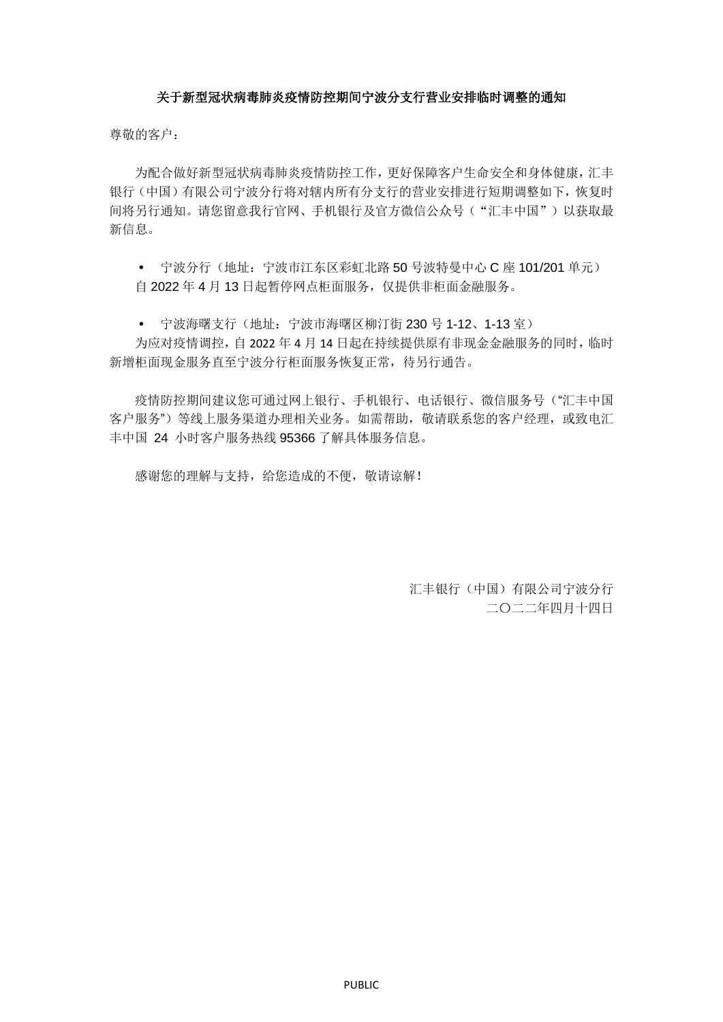## 关于新型冠状病毒肺炎疫情防控期间宁波分支行营业安排临时调整的通知

尊敬的客户:

为配合做好新型冠状病毒肺炎疫情防控工作,更好保障客户生命安全和身体健康,汇丰 银行(中国)有限公司宁波分行将对辖内所有分支行的营业安排进行短期调整如下,恢复时 间将另行通知。请您留意我行官网、手机银行及官方微信公众号("汇丰中国")以获取最 新信息。

• 宁波分行(地址: 宁波市江东区彩虹北路 50 号波特曼中心 C 座 101/201 单元) 自 2022 年 4 月 13 日起暂停网点柜面服务,仅提供非柜面金融服务。

• 宁波海曙支行(地址: 宁波市海曙区柳汀街 230 号 1-12、1-13 室)

为应对疫情调控,自 2022 年 4 月 14 日起在持续提供原有非现金金融服务的同时,临时 新增柜面现金服务直至宁波分行柜面服务恢复正常,待另行通告。

疫情防控期间建议您可通过网上银行、手机银行、电话银行、微信服务号("汇丰中国 客户服务")等线上服务渠道办理相关业务。如需帮助,敬请联系您的客户经理,或致电汇 丰中国 24 小时客户服务热线 95366 了解具体服务信息。

感谢您的理解与支持,给您造成的不便,敬请谅解!

汇丰银行(中国)有限公司宁波分行 二〇二二年四月十四日